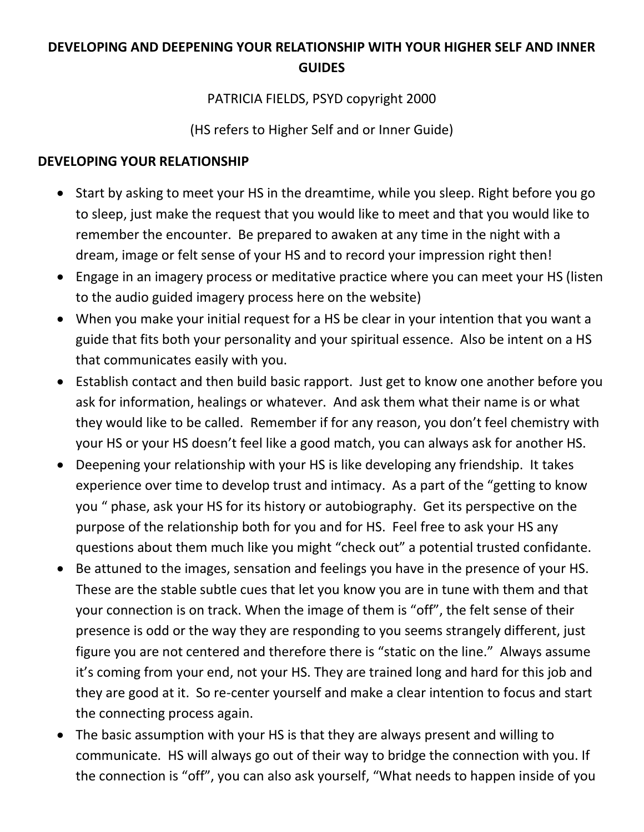## **DEVELOPING AND DEEPENING YOUR RELATIONSHIP WITH YOUR HIGHER SELF AND INNER GUIDES**

## PATRICIA FIELDS, PSYD copyright 2000

(HS refers to Higher Self and or Inner Guide)

## **DEVELOPING YOUR RELATIONSHIP**

- Start by asking to meet your HS in the dreamtime, while you sleep. Right before you go to sleep, just make the request that you would like to meet and that you would like to remember the encounter. Be prepared to awaken at any time in the night with a dream, image or felt sense of your HS and to record your impression right then!
- Engage in an imagery process or meditative practice where you can meet your HS (listen to the audio guided imagery process here on the website)
- When you make your initial request for a HS be clear in your intention that you want a guide that fits both your personality and your spiritual essence. Also be intent on a HS that communicates easily with you.
- Establish contact and then build basic rapport. Just get to know one another before you ask for information, healings or whatever. And ask them what their name is or what they would like to be called. Remember if for any reason, you don't feel chemistry with your HS or your HS doesn't feel like a good match, you can always ask for another HS.
- Deepening your relationship with your HS is like developing any friendship. It takes experience over time to develop trust and intimacy. As a part of the "getting to know you " phase, ask your HS for its history or autobiography. Get its perspective on the purpose of the relationship both for you and for HS. Feel free to ask your HS any questions about them much like you might "check out" a potential trusted confidante.
- Be attuned to the images, sensation and feelings you have in the presence of your HS. These are the stable subtle cues that let you know you are in tune with them and that your connection is on track. When the image of them is "off", the felt sense of their presence is odd or the way they are responding to you seems strangely different, just figure you are not centered and therefore there is "static on the line." Always assume it's coming from your end, not your HS. They are trained long and hard for this job and they are good at it. So re-center yourself and make a clear intention to focus and start the connecting process again.
- The basic assumption with your HS is that they are always present and willing to communicate. HS will always go out of their way to bridge the connection with you. If the connection is "off", you can also ask yourself, "What needs to happen inside of you